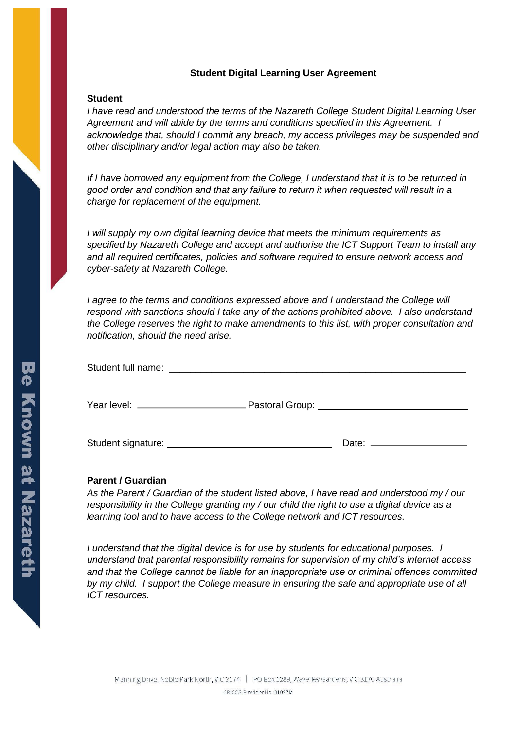## **Student Digital Learning User Agreement**

## **Student**

*I have read and understood the terms of the Nazareth College Student Digital Learning User Agreement and will abide by the terms and conditions specified in this Agreement. I acknowledge that, should I commit any breach, my access privileges may be suspended and other disciplinary and/or legal action may also be taken.* 

*If I have borrowed any equipment from the College, I understand that it is to be returned in good order and condition and that any failure to return it when requested will result in a charge for replacement of the equipment.* 

*I will supply my own digital learning device that meets the minimum requirements as specified by Nazareth College and accept and authorise the ICT Support Team to install any and all required certificates, policies and software required to ensure network access and cyber-safety at Nazareth College.* 

*I agree to the terms and conditions expressed above and I understand the College will respond with sanctions should I take any of the actions prohibited above. I also understand the College reserves the right to make amendments to this list, with proper consultation and notification, should the need arise.* 

## **Parent / Guardian**

*As the Parent / Guardian of the student listed above, I have read and understood my / our responsibility in the College granting my / our child the right to use a digital device as a learning tool and to have access to the College network and ICT resources.* 

*I understand that the digital device is for use by students for educational purposes. I understand that parental responsibility remains for supervision of my child's internet access and that the College cannot be liable for an inappropriate use or criminal offences committed by my child. I support the College measure in ensuring the safe and appropriate use of all ICT resources.*